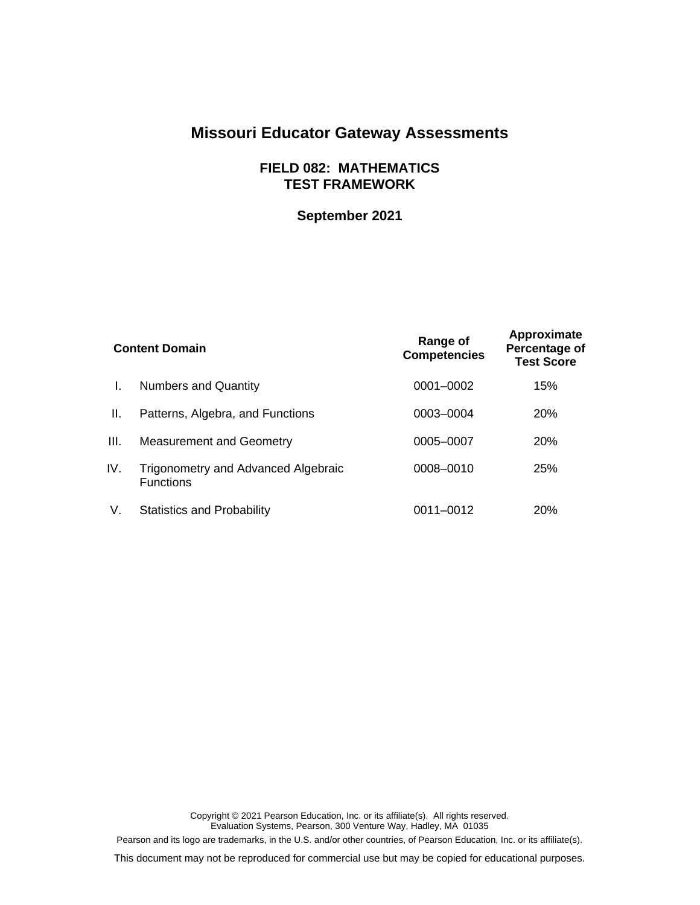# **Missouri Educator Gateway Assessments**

## **FIELD 082: MATHEMATICS TEST FRAMEWORK**

## **September 2021**

| <b>Content Domain</b> |                                                         | Range of<br><b>Competencies</b> | Approximate<br>Percentage of<br><b>Test Score</b> |
|-----------------------|---------------------------------------------------------|---------------------------------|---------------------------------------------------|
| L.                    | <b>Numbers and Quantity</b>                             | 0001-0002                       | 15%                                               |
| Ш.                    | Patterns, Algebra, and Functions                        | 0003-0004                       | <b>20%</b>                                        |
| III.                  | <b>Measurement and Geometry</b>                         | 0005-0007                       | 20%                                               |
| IV.                   | Trigonometry and Advanced Algebraic<br><b>Functions</b> | 0008-0010                       | 25%                                               |
| V.                    | <b>Statistics and Probability</b>                       | 0011-0012                       | <b>20%</b>                                        |

Copyright © 2021 Pearson Education, Inc. or its affiliate(s). All rights reserved. Evaluation Systems, Pearson, 300 Venture Way, Hadley, MA 01035 Pearson and its logo are trademarks, in the U.S. and/or other countries, of Pearson Education, Inc. or its affiliate(s).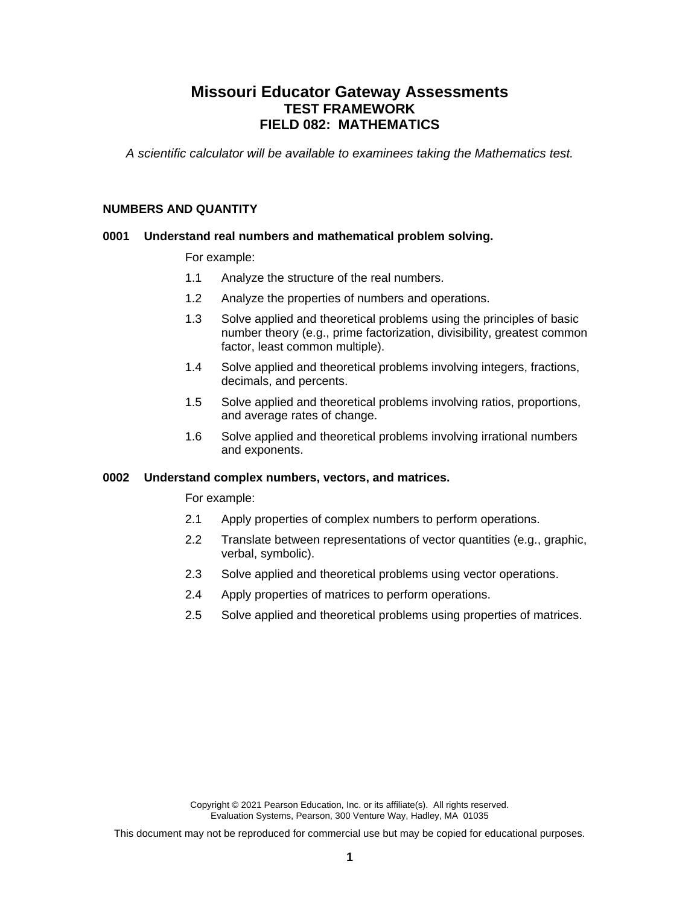## **Missouri Educator Gateway Assessments TEST FRAMEWORK FIELD 082: MATHEMATICS**

*A scientific calculator will be available to examinees taking the Mathematics test.*

#### **NUMBERS AND QUANTITY**

## **0001 Understand real numbers and mathematical problem solving.**

For example:

- 1.1 Analyze the structure of the real numbers.
- 1.2 Analyze the properties of numbers and operations.
- 1.3 Solve applied and theoretical problems using the principles of basic number theory (e.g., prime factorization, divisibility, greatest common factor, least common multiple).
- 1.4 Solve applied and theoretical problems involving integers, fractions, decimals, and percents.
- 1.5 Solve applied and theoretical problems involving ratios, proportions, and average rates of change.
- 1.6 Solve applied and theoretical problems involving irrational numbers and exponents.

#### **0002 Understand complex numbers, vectors, and matrices.**

For example:

- 2.1 Apply properties of complex numbers to perform operations.
- 2.2 Translate between representations of vector quantities (e.g., graphic, verbal, symbolic).
- 2.3 Solve applied and theoretical problems using vector operations.
- 2.4 Apply properties of matrices to perform operations.
- 2.5 Solve applied and theoretical problems using properties of matrices.

Copyright © 2021 Pearson Education, Inc. or its affiliate(s). All rights reserved. Evaluation Systems, Pearson, 300 Venture Way, Hadley, MA 01035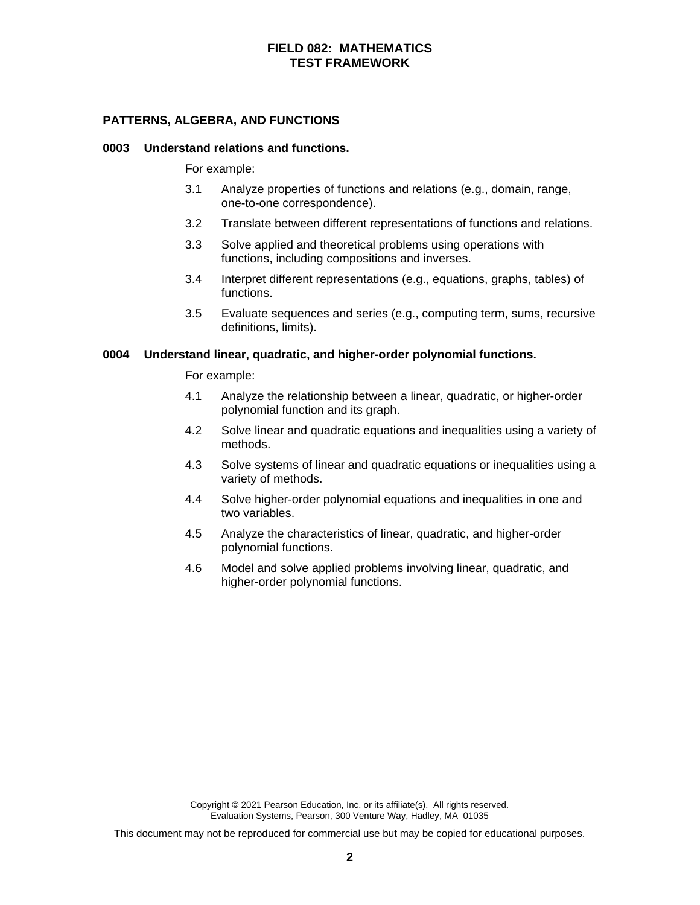## **PATTERNS, ALGEBRA, AND FUNCTIONS**

#### **0003 Understand relations and functions.**

For example:

- 3.1 Analyze properties of functions and relations (e.g., domain, range, one-to-one correspondence).
- 3.2 Translate between different representations of functions and relations.
- 3.3 Solve applied and theoretical problems using operations with functions, including compositions and inverses.
- 3.4 Interpret different representations (e.g., equations, graphs, tables) of functions.
- 3.5 Evaluate sequences and series (e.g., computing term, sums, recursive definitions, limits).

#### **0004 Understand linear, quadratic, and higher-order polynomial functions.**

For example:

- 4.1 Analyze the relationship between a linear, quadratic, or higher-order polynomial function and its graph.
- 4.2 Solve linear and quadratic equations and inequalities using a variety of methods.
- 4.3 Solve systems of linear and quadratic equations or inequalities using a variety of methods.
- 4.4 Solve higher-order polynomial equations and inequalities in one and two variables.
- 4.5 Analyze the characteristics of linear, quadratic, and higher-order polynomial functions.
- 4.6 Model and solve applied problems involving linear, quadratic, and higher-order polynomial functions.

Copyright © 2021 Pearson Education, Inc. or its affiliate(s). All rights reserved. Evaluation Systems, Pearson, 300 Venture Way, Hadley, MA 01035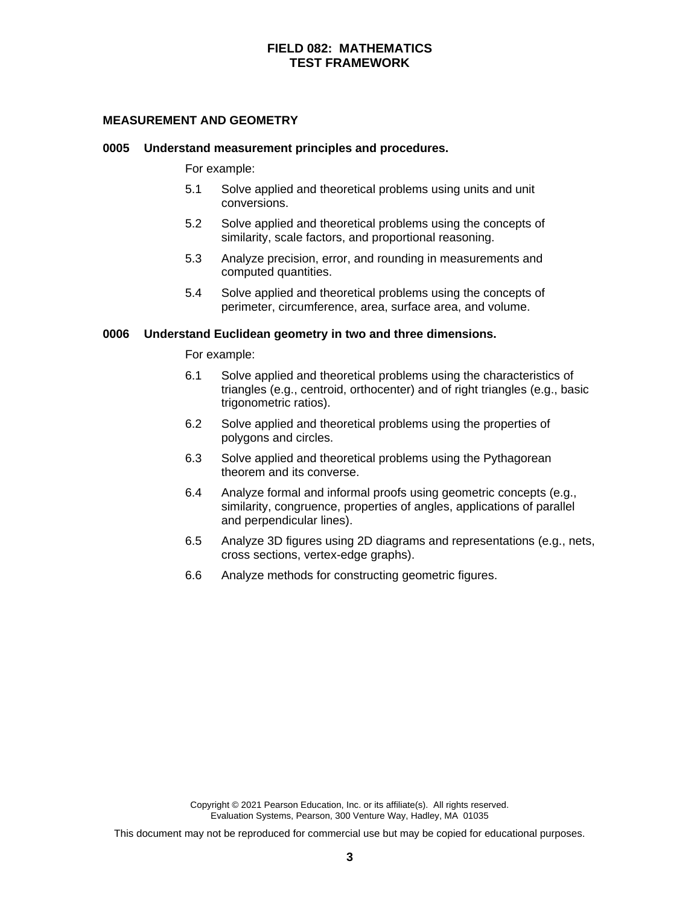## **MEASUREMENT AND GEOMETRY**

#### **0005 Understand measurement principles and procedures.**

For example:

- 5.1 Solve applied and theoretical problems using units and unit conversions.
- 5.2 Solve applied and theoretical problems using the concepts of similarity, scale factors, and proportional reasoning.
- 5.3 Analyze precision, error, and rounding in measurements and computed quantities.
- 5.4 Solve applied and theoretical problems using the concepts of perimeter, circumference, area, surface area, and volume.

#### **0006 Understand Euclidean geometry in two and three dimensions.**

For example:

- 6.1 Solve applied and theoretical problems using the characteristics of triangles (e.g., centroid, orthocenter) and of right triangles (e.g., basic trigonometric ratios).
- 6.2 Solve applied and theoretical problems using the properties of polygons and circles.
- 6.3 Solve applied and theoretical problems using the Pythagorean theorem and its converse.
- 6.4 Analyze formal and informal proofs using geometric concepts (e.g., similarity, congruence, properties of angles, applications of parallel and perpendicular lines).
- 6.5 Analyze 3D figures using 2D diagrams and representations (e.g., nets, cross sections, vertex-edge graphs).
- 6.6 Analyze methods for constructing geometric figures.

Copyright © 2021 Pearson Education, Inc. or its affiliate(s). All rights reserved. Evaluation Systems, Pearson, 300 Venture Way, Hadley, MA 01035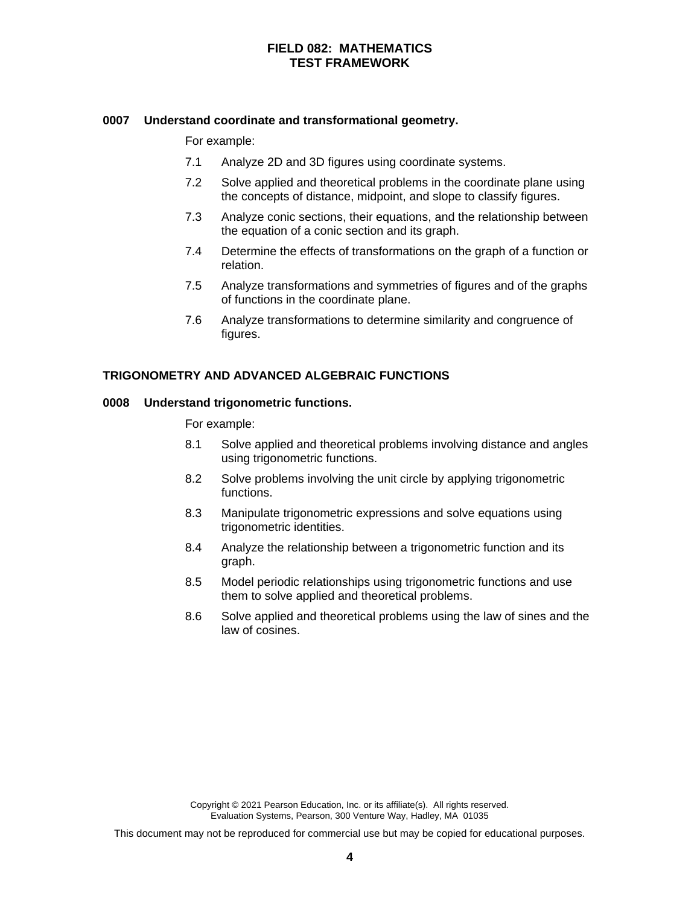## **0007 Understand coordinate and transformational geometry.**

For example:

- 7.1 Analyze 2D and 3D figures using coordinate systems.
- 7.2 Solve applied and theoretical problems in the coordinate plane using the concepts of distance, midpoint, and slope to classify figures.
- 7.3 Analyze conic sections, their equations, and the relationship between the equation of a conic section and its graph.
- 7.4 Determine the effects of transformations on the graph of a function or relation.
- 7.5 Analyze transformations and symmetries of figures and of the graphs of functions in the coordinate plane.
- 7.6 Analyze transformations to determine similarity and congruence of figures.

## **TRIGONOMETRY AND ADVANCED ALGEBRAIC FUNCTIONS**

#### **0008 Understand trigonometric functions.**

For example:

- 8.1 Solve applied and theoretical problems involving distance and angles using trigonometric functions.
- 8.2 Solve problems involving the unit circle by applying trigonometric functions.
- 8.3 Manipulate trigonometric expressions and solve equations using trigonometric identities.
- 8.4 Analyze the relationship between a trigonometric function and its graph.
- 8.5 Model periodic relationships using trigonometric functions and use them to solve applied and theoretical problems.
- 8.6 Solve applied and theoretical problems using the law of sines and the law of cosines.

Copyright © 2021 Pearson Education, Inc. or its affiliate(s). All rights reserved. Evaluation Systems, Pearson, 300 Venture Way, Hadley, MA 01035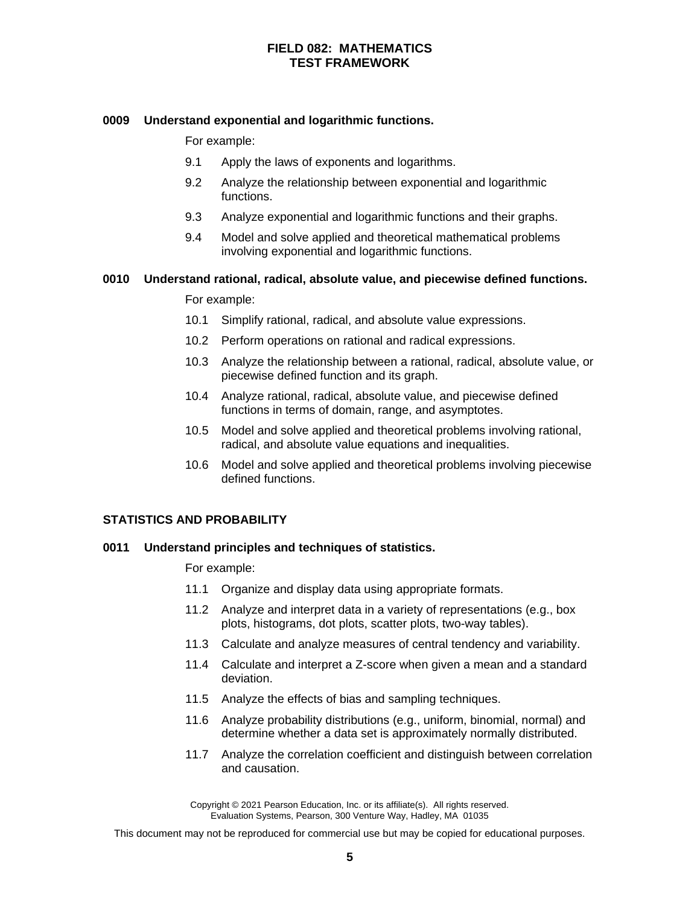## **0009 Understand exponential and logarithmic functions.**

For example:

- 9.1 Apply the laws of exponents and logarithms.
- 9.2 Analyze the relationship between exponential and logarithmic functions.
- 9.3 Analyze exponential and logarithmic functions and their graphs.
- 9.4 Model and solve applied and theoretical mathematical problems involving exponential and logarithmic functions.

## **0010 Understand rational, radical, absolute value, and piecewise defined functions.**

For example:

- 10.1 Simplify rational, radical, and absolute value expressions.
- 10.2 Perform operations on rational and radical expressions.
- 10.3 Analyze the relationship between a rational, radical, absolute value, or piecewise defined function and its graph.
- 10.4 Analyze rational, radical, absolute value, and piecewise defined functions in terms of domain, range, and asymptotes.
- 10.5 Model and solve applied and theoretical problems involving rational, radical, and absolute value equations and inequalities.
- 10.6 Model and solve applied and theoretical problems involving piecewise defined functions.

#### **STATISTICS AND PROBABILITY**

#### **0011 Understand principles and techniques of statistics.**

For example:

- 11.1 Organize and display data using appropriate formats.
- 11.2 Analyze and interpret data in a variety of representations (e.g., box plots, histograms, dot plots, scatter plots, two-way tables).
- 11.3 Calculate and analyze measures of central tendency and variability.
- 11.4 Calculate and interpret a Z-score when given a mean and a standard deviation.
- 11.5 Analyze the effects of bias and sampling techniques.
- 11.6 Analyze probability distributions (e.g., uniform, binomial, normal) and determine whether a data set is approximately normally distributed.
- 11.7 Analyze the correlation coefficient and distinguish between correlation and causation.

Copyright © 2021 Pearson Education, Inc. or its affiliate(s). All rights reserved. Evaluation Systems, Pearson, 300 Venture Way, Hadley, MA 01035